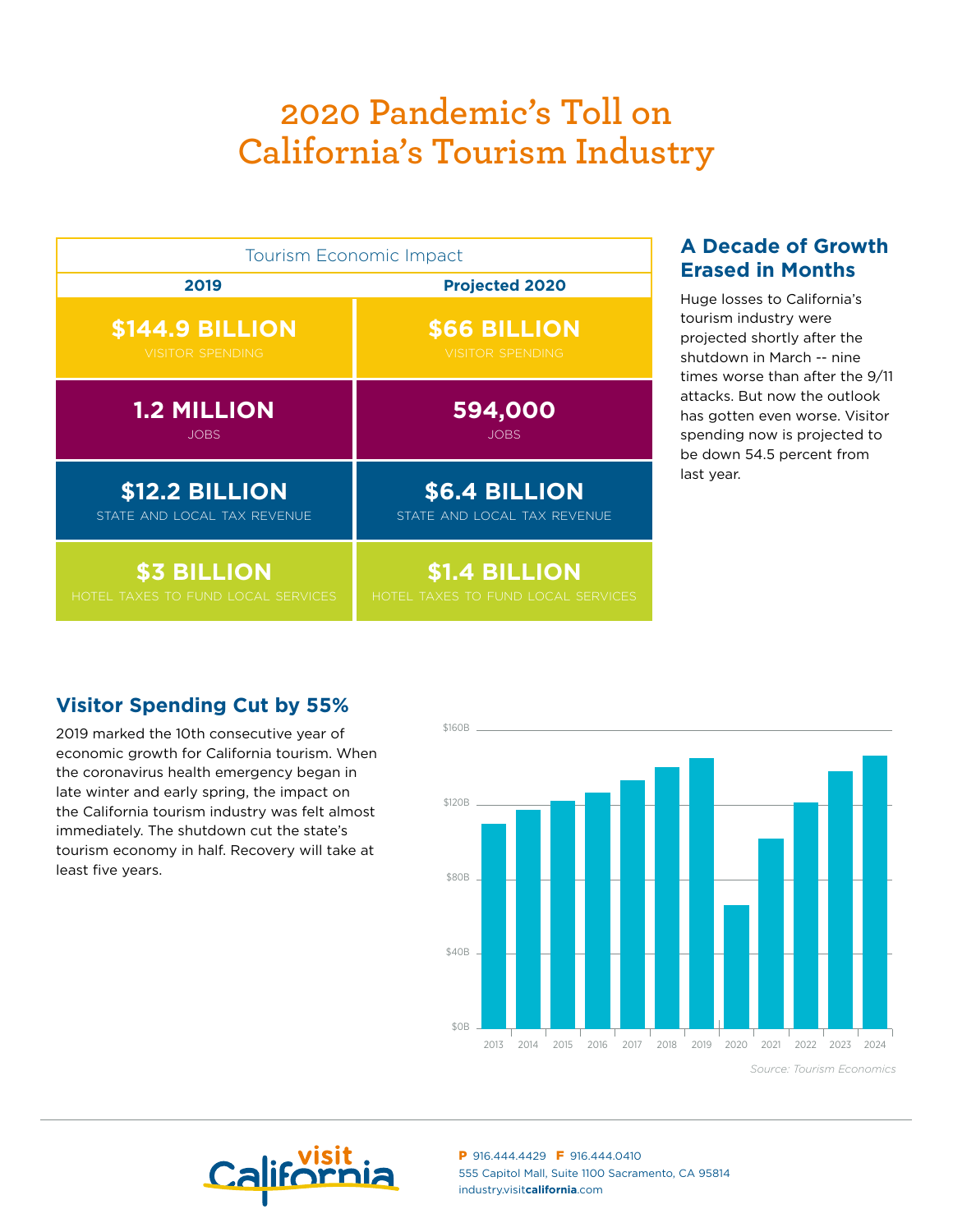# **2020 Pandemic's Toll on California's Tourism Industry**

| Tourism Economic Impact            |                                    |  |  |
|------------------------------------|------------------------------------|--|--|
| 2019                               | <b>Projected 2020</b>              |  |  |
| <b>\$144.9 BILLION</b>             | <b>\$66 BILLION</b>                |  |  |
| <b>VISITOR SPENDING</b>            | <b>VISITOR SPENDING</b>            |  |  |
| <b>1.2 MILLION</b>                 | 594,000                            |  |  |
| <b>JOBS</b>                        | <b>JOBS</b>                        |  |  |
| <b>\$12.2 BILLION</b>              | \$6.4 BILLION                      |  |  |
| STATE AND LOCAL TAX REVENUE        | STATE AND LOCAL TAX REVENUE        |  |  |
| <b>\$3 BILLION</b>                 | \$1.4 BILLION                      |  |  |
| HOTEL TAXES TO FUND LOCAL SERVICES | HOTEL TAXES TO FUND LOCAL SERVICES |  |  |

## **A Decade of Growth Erased in Months**

Huge losses to California's tourism industry were projected shortly after the shutdown in March -- nine times worse than after the 9/11 attacks. But now the outlook has gotten even worse. Visitor spending now is projected to be down 54.5 percent from last year.

## **Visitor Spending Cut by 55%**

2019 marked the 10th consecutive year of economic growth for California tourism. When the coronavirus health emergency began in late winter and early spring, the impact on the California tourism industry was felt almost immediately. The shutdown cut the state's tourism economy in half. Recovery will take at least five years.





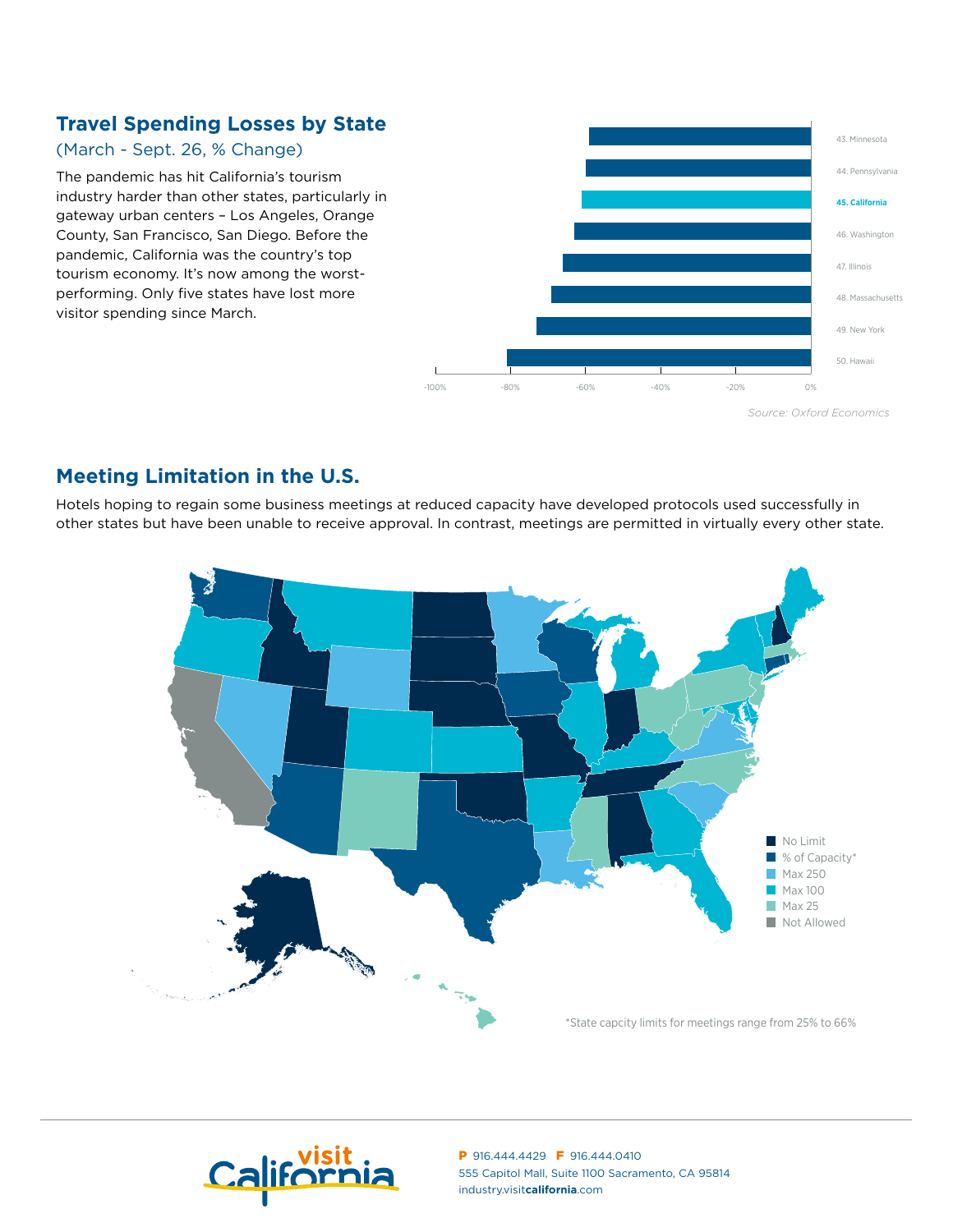## **Travel Spending Losses by State**

#### (March - Sept. 26, % Change)

The pandemic has hit California's tourism industry harder than other states, particularly in gateway urban centers – Los Angeles, Orange County, San Francisco, San Diego. Before the pandemic, California was the country's top tourism economy. It's now among the worstperforming. Only five states have lost more visitor spending since March.



*Source: Oxford Economics*

## **Meeting Limitation in the U.S.**

Hotels hoping to regain some business meetings at reduced capacity have developed protocols used successfully in other states but have been unable to receive approval. In contrast, meetings are permitted in virtually every other state.



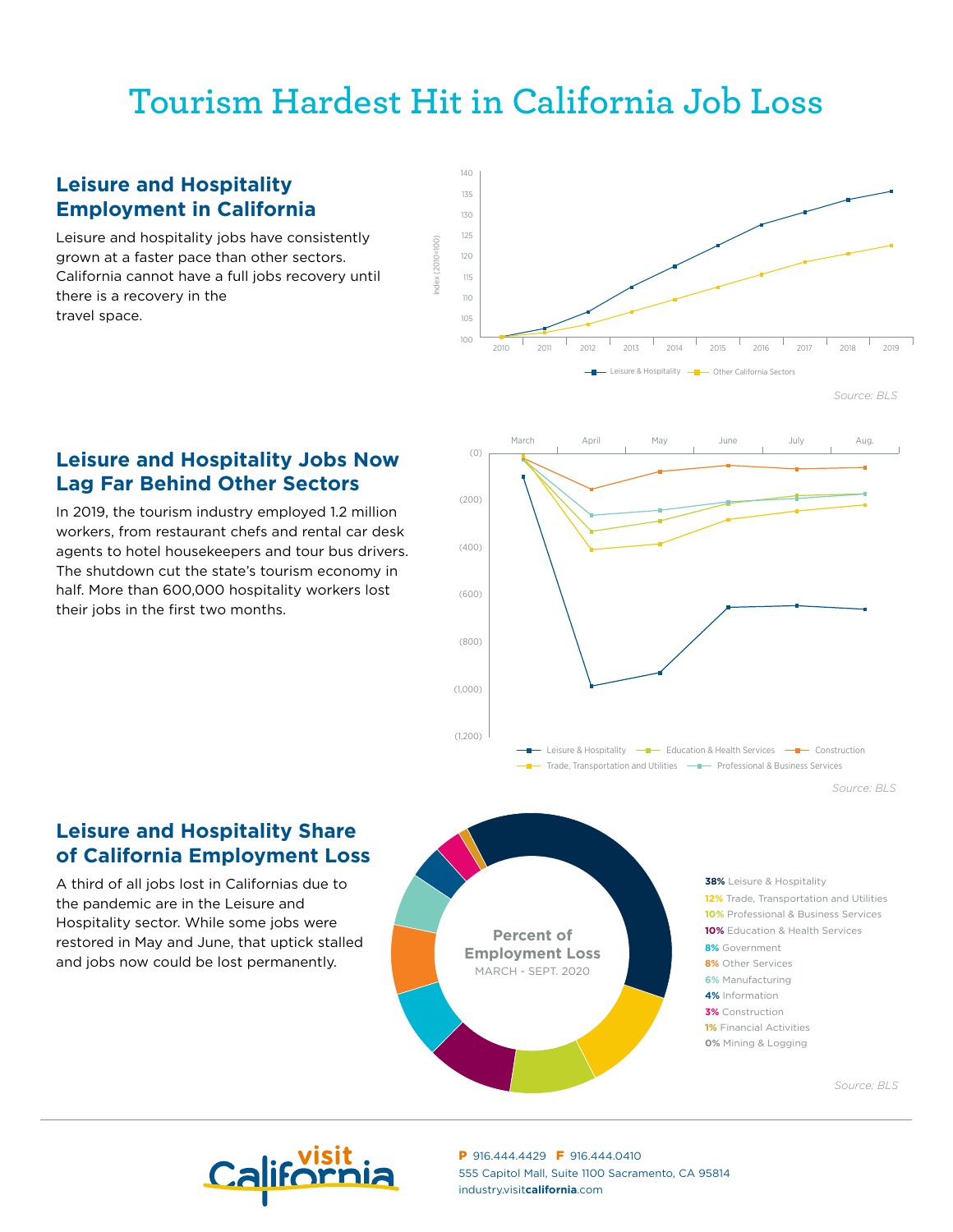# **Tourism Hardest Hit in California Job Loss**

#### **Leisure and Hospitality Employment in California**

Leisure and hospitality jobs have consistently grown at a faster pace than other sectors. California cannot have a full jobs recovery until there is a recovery in the travel space.



### **Leisure and Hospitality Jobs Now Lag Far Behind Other Sectors**

In 2019, the tourism industry employed 1.2 million workers, from restaurant chefs and rental car desk agents to hotel housekeepers and tour bus drivers. The shutdown cut the state's tourism economy in half. More than 600,000 hospitality workers lost their jobs in the first two months.



#### **Leisure and Hospitality Share of California Employment Loss**

A third of all jobs lost in Californias due to the pandemic are in the Leisure and Hospitality sector. While some jobs were restored in May and June, that uptick stalled and jobs now could be lost permanently.



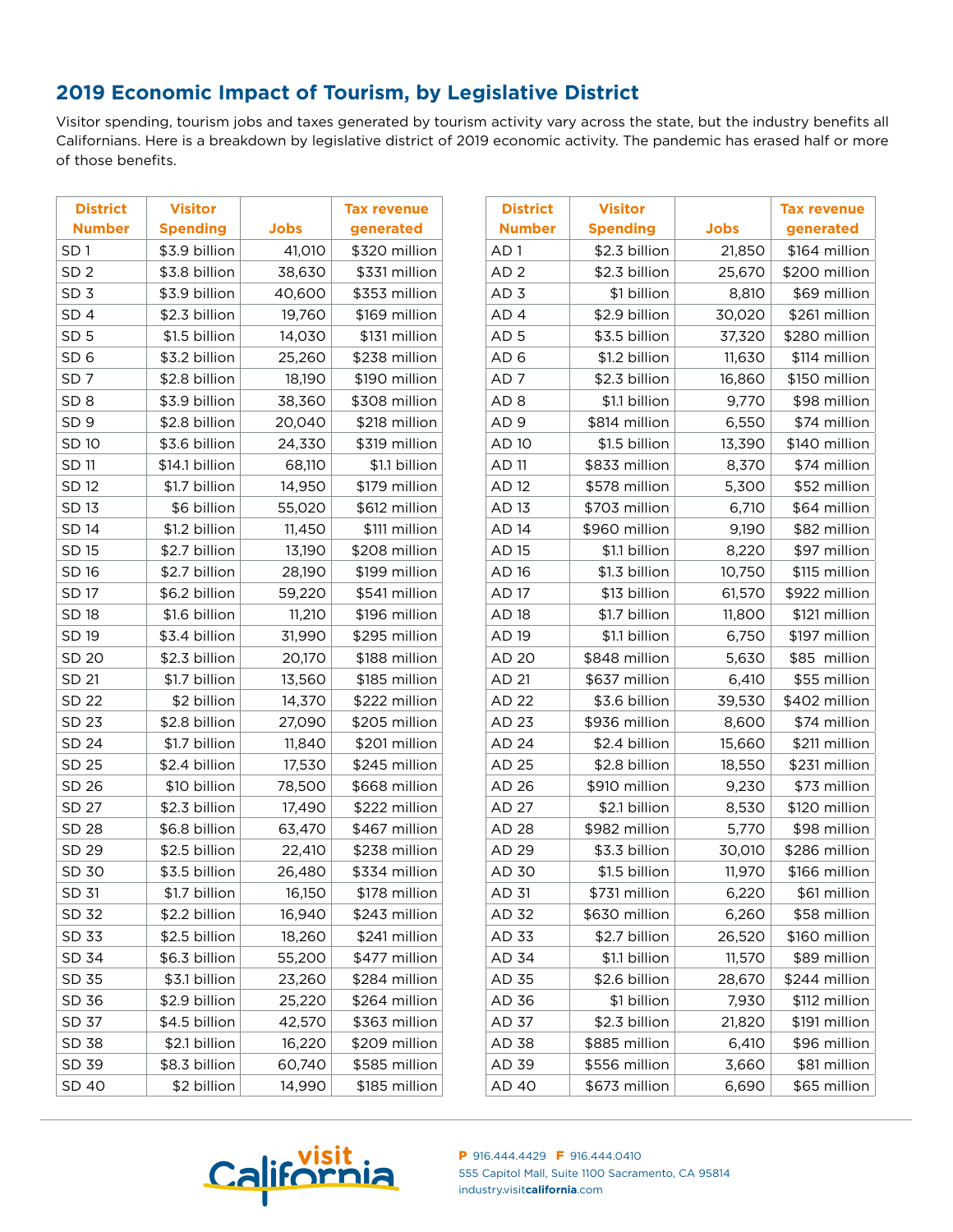## **2019 Economic Impact of Tourism, by Legislative District**

Visitor spending, tourism jobs and taxes generated by tourism activity vary across the state, but the industry benefits all Californians. Here is a breakdown by legislative district of 2019 economic activity. The pandemic has erased half or more of those benefits.

| <b>District</b> | <b>Visitor</b>  |             | <b>Tax revenue</b> |
|-----------------|-----------------|-------------|--------------------|
| <b>Number</b>   | <b>Spending</b> | <b>Jobs</b> | generated          |
| SD <sub>1</sub> | \$3.9 billion   | 41,010      | \$320 million      |
| SD <sub>2</sub> | \$3.8 billion   | 38,630      | \$331 million      |
| SD <sub>3</sub> | \$3.9 billion   | 40,600      | \$353 million      |
| SD <sub>4</sub> | \$2.3 billion   | 19,760      | \$169 million      |
| SD <sub>5</sub> | \$1.5 billion   | 14,030      | \$131 million      |
| SD <sub>6</sub> | \$3.2 billion   | 25,260      | \$238 million      |
| SD <sub>7</sub> | \$2.8 billion   | 18,190      | \$190 million      |
| SD <sub>8</sub> | \$3.9 billion   | 38,360      | \$308 million      |
| SD <sub>9</sub> | \$2.8 billion   | 20,040      | \$218 million      |
| SD 10           | \$3.6 billion   | 24,330      | \$319 million      |
| SD 11           | \$14.1 billion  | 68,110      | \$1.1 billion      |
| SD 12           | \$1.7 billion   | 14,950      | \$179 million      |
| SD 13           | \$6 billion     | 55,020      | \$612 million      |
| <b>SD 14</b>    | \$1.2 billion   | 11,450      | \$111 million      |
| SD 15           | \$2.7 billion   | 13,190      | \$208 million      |
| SD 16           | \$2.7 billion   | 28,190      | \$199 million      |
| <b>SD17</b>     | \$6.2 billion   | 59,220      | \$541 million      |
| <b>SD 18</b>    | \$1.6 billion   | 11,210      | \$196 million      |
| SD 19           | \$3.4 billion   | 31,990      | \$295 million      |
| SD 20           | \$2.3 billion   | 20,170      | \$188 million      |
| SD 21           | \$1.7 billion   | 13,560      | \$185 million      |
| SD 22           | \$2 billion     | 14,370      | \$222 million      |
| SD 23           | \$2.8 billion   | 27,090      | \$205 million      |
| SD 24           | \$1.7 billion   | 11,840      | \$201 million      |
| SD 25           | \$2.4 billion   | 17,530      | \$245 million      |
| SD 26           | \$10 billion    | 78,500      | \$668 million      |
| SD 27           | \$2.3 billion   | 17,490      | \$222 million      |
| <b>SD 28</b>    | \$6.8 billion   | 63,470      | \$467 million      |
| SD 29           | \$2.5 billion   | 22,410      | \$238 million      |
| SD 30           | \$3.5 billion   | 26,480      | \$334 million      |
| SD 31           | \$1.7 billion   | 16,150      | \$178 million      |
| SD 32           | \$2.2 billion   | 16,940      | \$243 million      |
| SD 33           | \$2.5 billion   | 18,260      | \$241 million      |
| SD 34           | \$6.3 billion   | 55,200      | \$477 million      |
| SD 35           | \$3.1 billion   | 23,260      | \$284 million      |
| SD 36           | \$2.9 billion   | 25,220      | \$264 million      |
| SD 37           | \$4.5 billion   | 42,570      | \$363 million      |
| SD 38           | \$2.1 billion   | 16,220      | \$209 million      |
| SD 39           | \$8.3 billion   | 60,740      | \$585 million      |
| SD 40           | \$2 billion     | 14,990      | \$185 million      |

| <b>District</b> | <b>Visitor</b>  |             | <b>Tax revenue</b> |
|-----------------|-----------------|-------------|--------------------|
| <b>Number</b>   | <b>Spending</b> | <b>Jobs</b> | generated          |
| AD 1            | \$2.3 billion   | 21,850      | \$164 million      |
| AD <sub>2</sub> | \$2.3 billion   | 25,670      | \$200 million      |
| AD <sub>3</sub> | \$1 billion     | 8,810       | \$69 million       |
| AD 4            | \$2.9 billion   | 30,020      | \$261 million      |
| AD <sub>5</sub> | \$3.5 billion   | 37,320      | \$280 million      |
| AD <sub>6</sub> | \$1.2 billion   | 11,630      | \$114 million      |
| AD <sub>7</sub> | \$2.3 billion   | 16,860      | \$150 million      |
| AD 8            | \$1.1 billion   | 9,770       | \$98 million       |
| AD <sub>9</sub> | \$814 million   | 6,550       | \$74 million       |
| AD 10           | \$1.5 billion   | 13,390      | \$140 million      |
| <b>AD11</b>     | \$833 million   | 8,370       | \$74 million       |
| AD 12           | \$578 million   | 5,300       | \$52 million       |
| AD 13           | \$703 million   | 6,710       | \$64 million       |
| <b>AD 14</b>    | \$960 million   | 9,190       | \$82 million       |
| AD 15           | \$1.1 billion   | 8,220       | \$97 million       |
| AD 16           | \$1.3 billion   | 10,750      | \$115 million      |
| AD 17           | \$13 billion    | 61,570      | \$922 million      |
| AD 18           | \$1.7 billion   | 11,800      | \$121 million      |
| AD 19           | \$1.1 billion   | 6,750       | \$197 million      |
| AD 20           | \$848 million   | 5,630       | \$85 million       |
| AD 21           | \$637 million   | 6,410       | \$55 million       |
| AD 22           | \$3.6 billion   | 39,530      | \$402 million      |
| AD 23           | \$936 million   | 8,600       | \$74 million       |
| AD 24           | \$2.4 billion   | 15,660      | \$211 million      |
| AD 25           | \$2.8 billion   | 18,550      | \$231 million      |
| AD 26           | \$910 million   | 9,230       | \$73 million       |
| AD 27           | \$2.1 billion   | 8,530       | \$120 million      |
| AD 28           | \$982 million   | 5,770       | \$98 million       |
| AD 29           | \$3.3 billion   | 30,010      | \$286 million      |
| AD 30           | \$1.5 billion   | 11,970      | \$166 million      |
| AD 31           | \$731 million   | 6,220       | \$61 million       |
| AD 32           | \$630 million   | 6,260       | \$58 million       |
| AD 33           | \$2.7 billion   | 26,520      | \$160 million      |
| AD 34           | \$1.1 billion   | 11,570      | \$89 million       |
| AD 35           | \$2.6 billion   | 28,670      | \$244 million      |
| AD 36           | \$1 billion     | 7,930       | \$112 million      |
| AD 37           | \$2.3 billion   | 21,820      | \$191 million      |
| AD 38           | \$885 million   | 6,410       | \$96 million       |
| AD 39           | \$556 million   | 3,660       | \$81 million       |
| AD 40           | \$673 million   | 6,690       | \$65 million       |